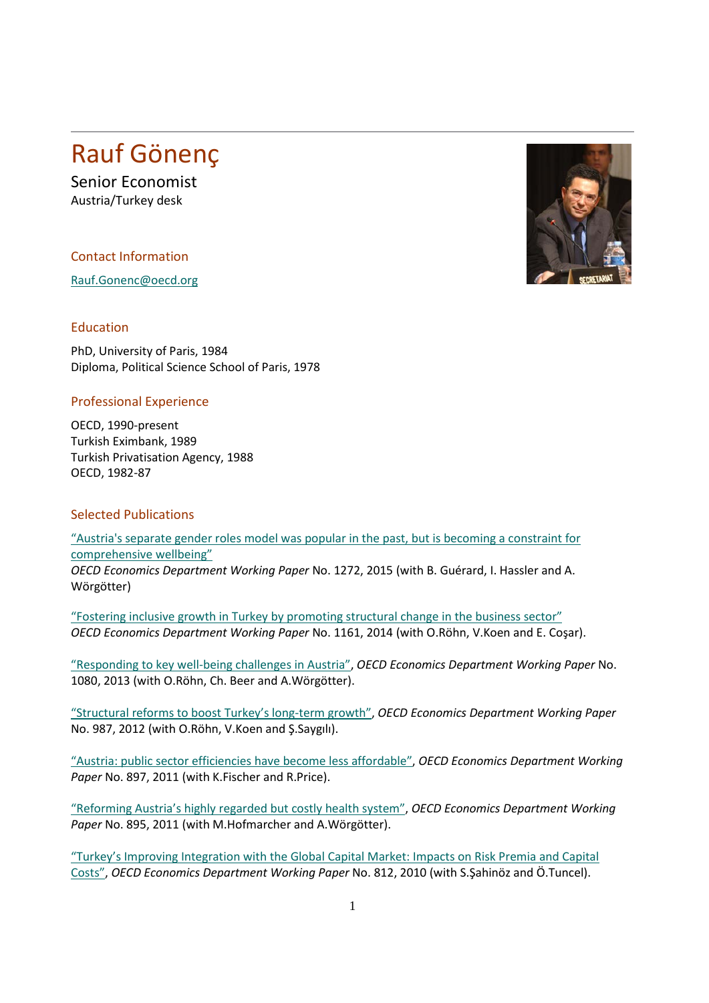## Rauf Gönenç

Senior Economist Austria/Turkey desk

Contact Information

[Rauf.Gonenc@oecd.org](mailto:Rauf.Gonenc@oecd.org)

## Education

PhD, University of Paris, 1984 Diploma, Political Science School of Paris, 1978

## Professional Experience

OECD, 1990-present Turkish Eximbank, 1989 Turkish Privatisation Agency, 1988 OECD, 1982-87

## Selected Publications

["Austria's separate gender roles model was popular in the past, but is becoming a constraint for](http://www.oecd-ilibrary.org/fr/economics/austria-s-separate-gender-roles-model-was-popular-in-the-past-but-is-cecoming-a-constraint-for-comprehensive-wellbeing_5jrp2s53tglp-en)  [comprehensive wellbeing"](http://www.oecd-ilibrary.org/fr/economics/austria-s-separate-gender-roles-model-was-popular-in-the-past-but-is-cecoming-a-constraint-for-comprehensive-wellbeing_5jrp2s53tglp-en) *OECD Economics Department Working Paper* No. 1272, 2015 (with B. Guérard, I. Hassler and A. Wörgötter)

["Fostering inclusive growth in Turkey by promoting structural change in the business sector"](http://dx.doi.org/10.1787/5jxx0554v07c-en) *OECD Economics Department Working Paper* No. 1161, 2014 (with O.Röhn, V.Koen and E. Coşar).

["Responding to key well-being challenges in Austria",](http://dx.doi.org/10.1787/5k42210gg9g5-en) *OECD Economics Department Working Paper* No. 1080, 2013 (with O.Röhn, Ch. Beer and A.Wörgötter).

["Structural reforms to boost Turkey's long-term growth",](http://dx.doi.org/10.1787/5k92smv7cnjl-en) *OECD Economics Department Working Paper* No. 987, 2012 (with O.Röhn, V.Koen and Ş.Saygılı).

["Austria: public sector efficiencies have become less affordable",](http://dx.doi.org/10.1787/5kg3nzkxsv7c-en) *OECD Economics Department Working Paper* No. 897, 2011 (with K.Fischer and R.Price).

["Reforming Austria's highly regarded but costly health system",](http://dx.doi.org/10.1787/5kg51mbntk7j-en) *OECD Economics Department Working Paper* No. 895, 2011 (with M.Hofmarcher and A.Wörgötter).

["Turkey's Improving Integration with the Global Capital Market: Impacts on Risk Premia and Capital](http://dx.doi.org/10.1787/5km4nf492j0r-en)  [Costs",](http://dx.doi.org/10.1787/5km4nf492j0r-en) *OECD Economics Department Working Paper* No. 812, 2010 (with S.Şahinöz and Ö.Tuncel).